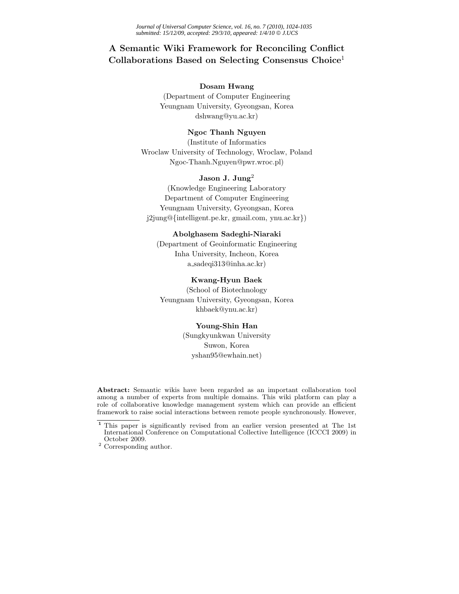# **A Semantic Wiki Framework for Reconciling Conflict Collaborations Based on Selecting Consensus Choice**<sup>1</sup>

# **Dosam Hwang**

(Department of Computer Engineering Yeungnam University, Gyeongsan, Korea dshwang@yu.ac.kr)

## **Ngoc Thanh Nguyen**

(Institute of Informatics Wroclaw University of Technology, Wroclaw, Poland Ngoc-Thanh.Nguyen@pwr.wroc.pl)

# **Jason J. Jung**<sup>2</sup>

(Knowledge Engineering Laboratory Department of Computer Engineering Yeungnam University, Gyeongsan, Korea j2jung@{intelligent.pe.kr, gmail.com, ynu.ac.kr})

# **Abolghasem Sadeghi-Niaraki**

(Department of Geoinformatic Engineering Inha University, Incheon, Korea a sadeqi313@inha.ac.kr)

# **Kwang-Hyun Baek**

(School of Biotechnology Yeungnam University, Gyeongsan, Korea khbaek@ynu.ac.kr)

#### **Young-Shin Han**

(Sungkyunkwan University Suwon, Korea yshan95@ewhain.net)

**Abstract:** Semantic wikis have been regarded as an important collaboration tool among a number of experts from multiple domains. This wiki platform can play a role of collaborative knowledge management system which can provide an efficient framework to raise social interactions between remote people synchronously. However,

**<sup>1</sup>** This paper is significantly revised from an earlier version presented at The 1st International Conference on Computational Collective Intelligence (ICCCI 2009) in October 2009.

 $2$  Corresponding author.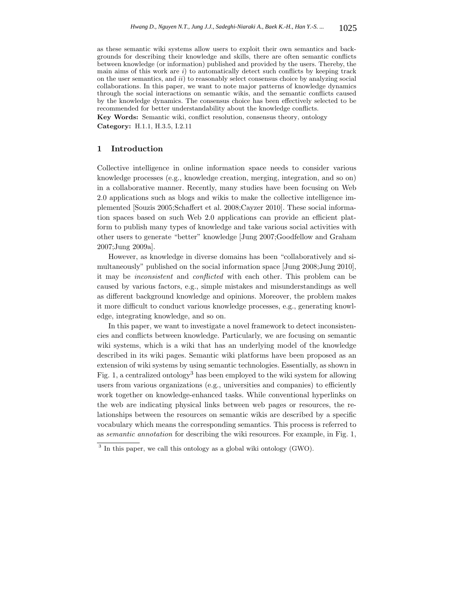as these semantic wiki systems allow users to exploit their own semantics and backgrounds for describing their knowledge and skills, there are often semantic conflicts between knowledge (or information) published and provided by the users. Thereby, the main aims of this work are *i*) to automatically detect such conflicts by keeping track on the user semantics, and *ii*) to reasonably select consensus choice by analyzing social collaborations. In this paper, we want to note major patterns of knowledge dynamics through the social interactions on semantic wikis, and the semantic conflicts caused by the knowledge dynamics. The consensus choice has been effectively selected to be recommended for better understandability about the knowledge conflicts.

**Key Words:** Semantic wiki, conflict resolution, consensus theory, ontology **Category:** H.1.1, H.3.5, I.2.11

## **1 Introduction**

Collective intelligence in online information space needs to consider various knowledge processes (e.g., knowledge creation, merging, integration, and so on) in a collaborative manner. Recently, many studies have been focusing on Web 2.0 applications such as blogs and wikis to make the collective intelligence implemented [Souzis 2005;Schaffert et al. 2008;Cayzer 2010]. These social information spaces based on such Web 2.0 applications can provide an efficient platform to publish many types of knowledge and take various social activities with other users to generate "better" knowledge [Jung 2007;Goodfellow and Graham 2007;Jung 2009a].

However, as knowledge in diverse domains has been "collaboratively and simultaneously" published on the social information space [Jung 2008;Jung 2010], it may be *inconsistent* and *conflicted* with each other. This problem can be caused by various factors, e.g., simple mistakes and misunderstandings as well as different background knowledge and opinions. Moreover, the problem makes it more difficult to conduct various knowledge processes, e.g., generating knowledge, integrating knowledge, and so on.

In this paper, we want to investigate a novel framework to detect inconsistencies and conflicts between knowledge. Particularly, we are focusing on semantic wiki systems, which is a wiki that has an underlying model of the knowledge described in its wiki pages. Semantic wiki platforms have been proposed as an extension of wiki systems by using semantic technologies. Essentially, as shown in Fig. 1, a centralized ontology<sup>3</sup> has been employed to the wiki system for allowing users from various organizations (e.g., universities and companies) to efficiently work together on knowledge-enhanced tasks. While conventional hyperlinks on the web are indicating physical links between web pages or resources, the relationships between the resources on semantic wikis are described by a specific vocabulary which means the corresponding semantics. This process is referred to as *semantic annotation* for describing the wiki resources. For example, in Fig. 1,

<sup>&</sup>lt;sup>3</sup> In this paper, we call this ontology as a global wiki ontology (GWO).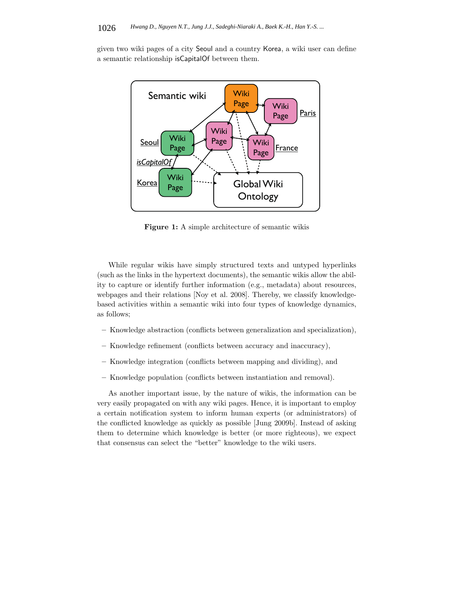given two wiki pages of a city Seoul and a country Korea, a wiki user can define a semantic relationship isCapitalOf between them.



**Figure 1:** A simple architecture of semantic wikis

While regular wikis have simply structured texts and untyped hyperlinks (such as the links in the hypertext documents), the semantic wikis allow the ability to capture or identify further information (e.g., metadata) about resources, webpages and their relations [Noy et al. 2008]. Thereby, we classify knowledgebased activities within a semantic wiki into four types of knowledge dynamics, as follows;

- **–** Knowledge abstraction (conflicts between generalization and specialization),
- **–** Knowledge refinement (conflicts between accuracy and inaccuracy),
- **–** Knowledge integration (conflicts between mapping and dividing), and
- **–** Knowledge population (conflicts between instantiation and removal).

As another important issue, by the nature of wikis, the information can be very easily propagated on with any wiki pages. Hence, it is important to employ a certain notification system to inform human experts (or administrators) of the conflicted knowledge as quickly as possible [Jung 2009b]. Instead of asking them to determine which knowledge is better (or more righteous), we expect that consensus can select the "better" knowledge to the wiki users.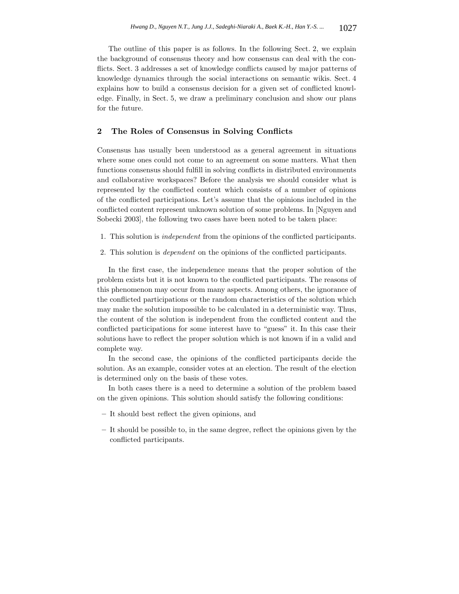The outline of this paper is as follows. In the following Sect. 2, we explain the background of consensus theory and how consensus can deal with the conflicts. Sect. 3 addresses a set of knowledge conflicts caused by major patterns of knowledge dynamics through the social interactions on semantic wikis. Sect. 4 explains how to build a consensus decision for a given set of conflicted knowledge. Finally, in Sect. 5, we draw a preliminary conclusion and show our plans for the future.

# **2 The Roles of Consensus in Solving Conflicts**

Consensus has usually been understood as a general agreement in situations where some ones could not come to an agreement on some matters. What then functions consensus should fulfill in solving conflicts in distributed environments and collaborative workspaces? Before the analysis we should consider what is represented by the conflicted content which consists of a number of opinions of the conflicted participations. Let's assume that the opinions included in the conflicted content represent unknown solution of some problems. In [Nguyen and Sobecki 2003], the following two cases have been noted to be taken place:

- 1. This solution is *independent* from the opinions of the conflicted participants.
- 2. This solution is *dependent* on the opinions of the conflicted participants.

In the first case, the independence means that the proper solution of the problem exists but it is not known to the conflicted participants. The reasons of this phenomenon may occur from many aspects. Among others, the ignorance of the conflicted participations or the random characteristics of the solution which may make the solution impossible to be calculated in a deterministic way. Thus, the content of the solution is independent from the conflicted content and the conflicted participations for some interest have to "guess" it. In this case their solutions have to reflect the proper solution which is not known if in a valid and complete way.

In the second case, the opinions of the conflicted participants decide the solution. As an example, consider votes at an election. The result of the election is determined only on the basis of these votes.

In both cases there is a need to determine a solution of the problem based on the given opinions. This solution should satisfy the following conditions:

- **–** It should best reflect the given opinions, and
- **–** It should be possible to, in the same degree, reflect the opinions given by the conflicted participants.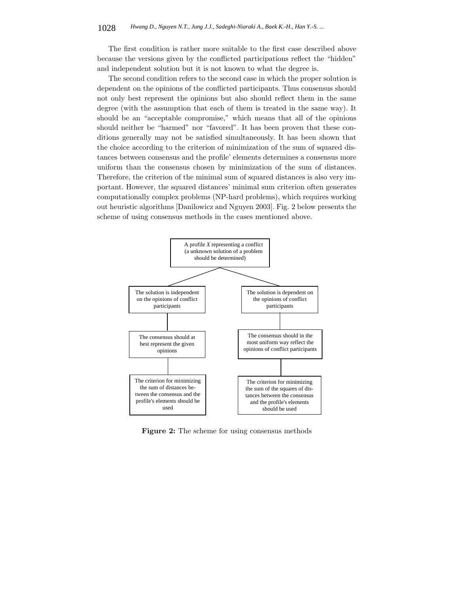The first condition is rather more suitable to the first case described above because the versions given by the conflicted participations reflect the "hidden" and independent solution but it is not known to what the degree is.

The second condition refers to the second case in which the proper solution is dependent on the opinions of the conflicted participants. Thus consensus should not only best represent the opinions but also should reflect them in the same degree (with the assumption that each of them is treated in the same way). It should be an "acceptable compromise," which means that all of the opinions should neither be "harmed" nor "favored". It has been proven that these conditions generally may not be satisfied simultaneously. It has been shown that the choice according to the criterion of minimization of the sum of squared distances between consensus and the profile' elements determines a consensus more uniform than the consensus chosen by minimization of the sum of distances. Therefore, the criterion of the minimal sum of squared distances is also very important. However, the squared distances' minimal sum criterion often generates computationally complex problems (NP-hard problems), which requires working out heuristic algorithms [Danilowicz and Nguyen 2003]. Fig. 2 below presents the scheme of using consensus methods in the cases mentioned above.



**Figure 2:** The scheme for using consensus methods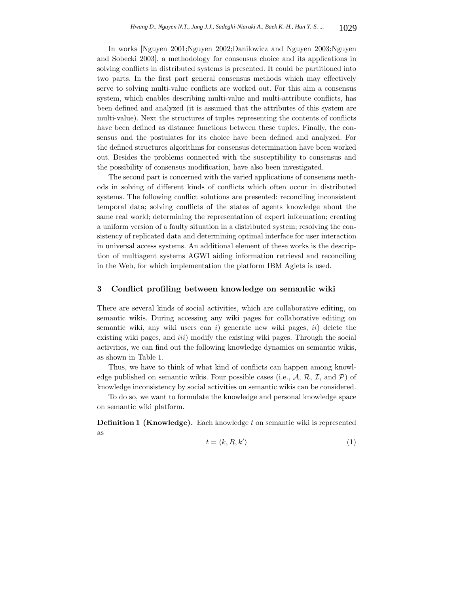In works [Nguyen 2001;Nguyen 2002;Danilowicz and Nguyen 2003;Nguyen and Sobecki 2003], a methodology for consensus choice and its applications in solving conflicts in distributed systems is presented. It could be partitioned into two parts. In the first part general consensus methods which may effectively serve to solving multi-value conflicts are worked out. For this aim a consensus system, which enables describing multi-value and multi-attribute conflicts, has been defined and analyzed (it is assumed that the attributes of this system are multi-value). Next the structures of tuples representing the contents of conflicts have been defined as distance functions between these tuples. Finally, the consensus and the postulates for its choice have been defined and analyzed. For the defined structures algorithms for consensus determination have been worked out. Besides the problems connected with the susceptibility to consensus and the possibility of consensus modification, have also been investigated.

The second part is concerned with the varied applications of consensus methods in solving of different kinds of conflicts which often occur in distributed systems. The following conflict solutions are presented: reconciling inconsistent temporal data; solving conflicts of the states of agents knowledge about the same real world; determining the representation of expert information; creating a uniform version of a faulty situation in a distributed system; resolving the consistency of replicated data and determining optimal interface for user interaction in universal access systems. An additional element of these works is the description of multiagent systems AGWI aiding information retrieval and reconciling in the Web, for which implementation the platform IBM Aglets is used.

# **3 Conflict profiling between knowledge on semantic wiki**

There are several kinds of social activities, which are collaborative editing, on semantic wikis. During accessing any wiki pages for collaborative editing on semantic wiki, any wiki users can *i*) generate new wiki pages, *ii*) delete the existing wiki pages, and *iii*) modify the existing wiki pages. Through the social activities, we can find out the following knowledge dynamics on semantic wikis, as shown in Table 1.

Thus, we have to think of what kind of conflicts can happen among knowledge published on semantic wikis. Four possible cases (i.e.,  $A, R, \mathcal{I}$ , and  $\mathcal{P}$ ) of knowledge inconsistency by social activities on semantic wikis can be considered.

To do so, we want to formulate the knowledge and personal knowledge space on semantic wiki platform.

**Definition 1 (Knowledge).** Each knowledge *t* on semantic wiki is represented as

$$
t = \langle k, R, k' \rangle \tag{1}
$$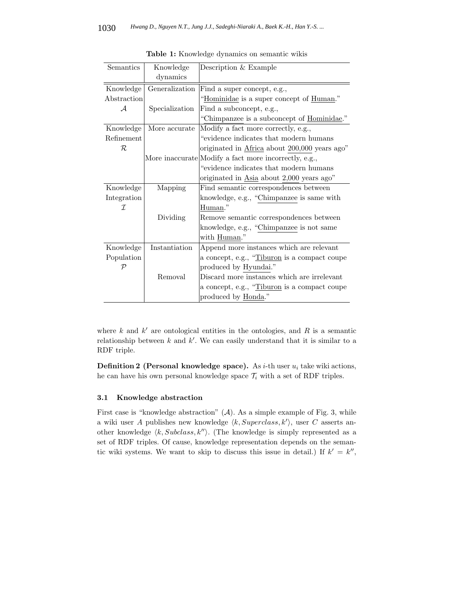| Semantics   | Knowledge      | Description & Example                                 |
|-------------|----------------|-------------------------------------------------------|
|             | dynamics       |                                                       |
| Knowledge   | Generalization | Find a super concept, e.g.,                           |
| Abstraction |                | "Hominidae is a super concept of Human."              |
| ${\cal A}$  | Specialization | Find a subconcept, e.g.,                              |
|             |                | "Chimpanzee is a subconcept of Hominidae."            |
| Knowledge   | More accurate  | Modify a fact more correctly, e.g.,                   |
| Refinement  |                | "evidence indicates that modern humans"               |
| R           |                | originated in Africa about 200,000 years ago"         |
|             |                | More inaccurate Modify a fact more incorrectly, e.g., |
|             |                | evidence indicates that modern humans                 |
|             |                | originated in Asia about 2,000 years ago"             |
| Knowledge   | Mapping        | Find semantic correspondences between                 |
| Integration |                | knowledge, e.g., "Chimpanzee is same with             |
| I           |                | Human."                                               |
|             | Dividing       | Remove semantic correspondences between               |
|             |                | knowledge, e.g., "Chimpanzee is not same              |
|             |                | with Human."                                          |
| Knowledge   | Instantiation  | Append more instances which are relevant              |
| Population  |                | a concept, e.g., "Tiburon is a compact coupe          |
| ${\cal P}$  |                | produced by Hyundai."                                 |
|             | Removal        | Discard more instances which are irrelevant           |
|             |                | a concept, e.g., "Tiburon is a compact coupe          |
|             |                | produced by Honda."                                   |

**Table 1:** Knowledge dynamics on semantic wikis

where  $k$  and  $k'$  are ontological entities in the ontologies, and  $R$  is a semantic relationship between  $k$  and  $k'$ . We can easily understand that it is similar to a RDF triple.

**Definition 2 (Personal knowledge space).** As *i*-th user *u<sup>i</sup>* take wiki actions, he can have his own personal knowledge space  $\mathcal{T}_i$  with a set of RDF triples.

### **3.1 Knowledge abstraction**

First case is "knowledge abstraction"  $(A)$ . As a simple example of Fig. 3, while a wiki user *A* publishes new knowledge  $\langle k, Superclass, k' \rangle$ , user *C* asserts another knowledge  $\langle k, Subclass, k'' \rangle$ . (The knowledge is simply represented as a set of RDF triples. Of cause, knowledge representation depends on the semantic wiki systems. We want to skip to discuss this issue in detail.) If  $k' = k''$ ,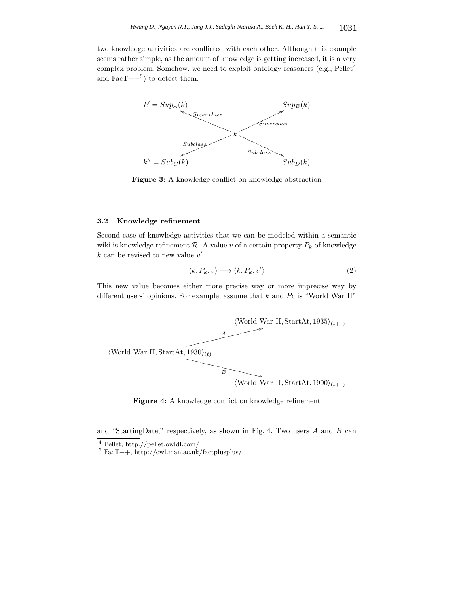two knowledge activities are conflicted with each other. Although this example seems rather simple, as the amount of knowledge is getting increased, it is a very complex problem. Somehow, we need to exploit ontology reasoners (e.g.,  $Pe$ llet<sup>4</sup> and  $\text{Fac}T++^5$  to detect them.



**Figure 3:** A knowledge conflict on knowledge abstraction

### **3.2 Knowledge refinement**

Second case of knowledge activities that we can be modeled within a semantic wiki is knowledge refinement  $\mathcal{R}$ . A value *v* of a certain property  $P_k$  of knowledge  $k$  can be revised to new value  $v'$ .

$$
\langle k, P_k, v \rangle \longrightarrow \langle k, P_k, v' \rangle \tag{2}
$$

This new value becomes either more precise way or more imprecise way by different users' opinions. For example, assume that *k* and *P<sup>k</sup>* is "World War II"



Figure 4: A knowledge conflict on knowledge refinement

and "StartingDate," respectively, as shown in Fig. 4. Two users *A* and *B* can

 $\frac{4}{\sqrt{3}}$  Pellet, http://pellet.owldl.com/ 5 FacT++, http://owl.man.ac.uk/factplusplus/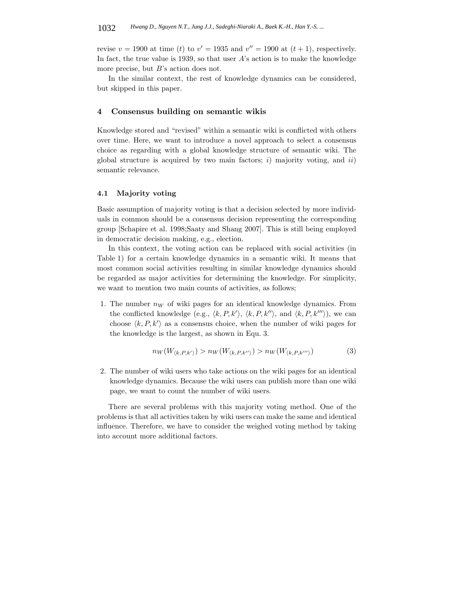revise  $v = 1900$  at time (*t*) to  $v' = 1935$  and  $v'' = 1900$  at (*t* + 1), respectively. In fact, the true value is 1939, so that user *A*'s action is to make the knowledge more precise, but *B*'s action does not.

In the similar context, the rest of knowledge dynamics can be considered, but skipped in this paper.

#### **4 Consensus building on semantic wikis**

Knowledge stored and "revised" within a semantic wiki is conflicted with others over time. Here, we want to introduce a novel approach to select a consensus choice as regarding with a global knowledge structure of semantic wiki. The global structure is acquired by two main factors; *i*) majority voting, and *ii*) semantic relevance.

## **4.1 Majority voting**

Basic assumption of majority voting is that a decision selected by more individuals in common should be a consensus decision representing the corresponding group [Schapire et al. 1998;Saaty and Shang 2007]. This is still being employed in democratic decision making, e.g., election.

In this context, the voting action can be replaced with social activities (in Table 1) for a certain knowledge dynamics in a semantic wiki. It means that most common social activities resulting in similar knowledge dynamics should be regarded as major activities for determining the knowledge. For simplicity, we want to mention two main counts of activities, as follows;

1. The number  $n_W$  of wiki pages for an identical knowledge dynamics. From the conflicted knowledge (e.g.,  $\langle k, P, k' \rangle$ ,  $\langle k, P, k'' \rangle$ , and  $\langle k, P, k''' \rangle$ ), we can choose  $\langle k, P, k' \rangle$  as a consensus choice, when the number of wiki pages for the knowledge is the largest, as shown in Equ. 3.

$$
n_W(W_{\langle k, P, k' \rangle}) > n_W(W_{\langle k, P, k'' \rangle}) > n_W(W_{\langle k, P, k''' \rangle})
$$
\n(3)

2. The number of wiki users who take actions on the wiki pages for an identical knowledge dynamics. Because the wiki users can publish more than one wiki page, we want to count the number of wiki users.

There are several problems with this majority voting method. One of the problems is that all activities taken by wiki users can make the same and identical influence. Therefore, we have to consider the weighed voting method by taking into account more additional factors.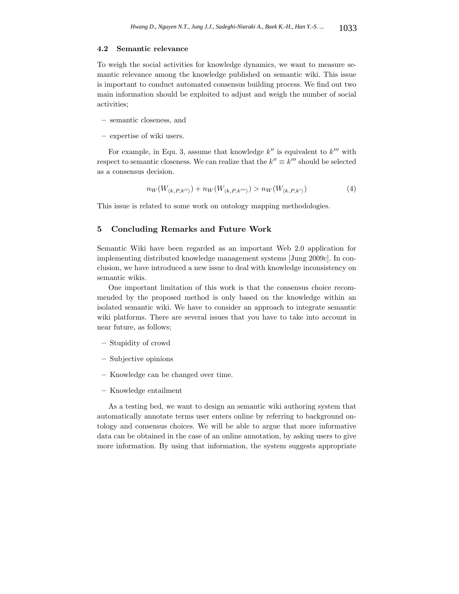#### **4.2 Semantic relevance**

To weigh the social activities for knowledge dynamics, we want to measure semantic relevance among the knowledge published on semantic wiki. This issue is important to conduct automated consensus building process. We find out two main information should be exploited to adjust and weigh the number of social activities;

- **–** semantic closeness, and
- **–** expertise of wiki users.

For example, in Equ. 3, assume that knowledge  $k''$  is equivalent to  $k'''$  with respect to semantic closeness. We can realize that the  $k'' \equiv k'''$  should be selected as a consensus decision.

$$
n_W(W_{\langle k, P, k'' \rangle}) + n_W(W_{\langle k, P, k'' \rangle}) > n_W(W_{\langle k, P, k' \rangle})
$$
\n
$$
\tag{4}
$$

This issue is related to some work on ontology mapping methodologies.

## **5 Concluding Remarks and Future Work**

Semantic Wiki have been regarded as an important Web 2.0 application for implementing distributed knowledge management systems [Jung 2009c]. In conclusion, we have introduced a new issue to deal with knowledge inconsistency on semantic wikis.

One important limitation of this work is that the consensus choice recommended by the proposed method is only based on the knowledge within an isolated semantic wiki. We have to consider an approach to integrate semantic wiki platforms. There are several issues that you have to take into account in near future, as follows;

- **–** Stupidity of crowd
- **–** Subjective opinions
- **–** Knowledge can be changed over time.
- **–** Knowledge entailment

As a testing bed, we want to design an semantic wiki authoring system that automatically annotate terms user enters online by referring to background ontology and consensus choices. We will be able to argue that more informative data can be obtained in the case of an online annotation, by asking users to give more information. By using that information, the system suggests appropriate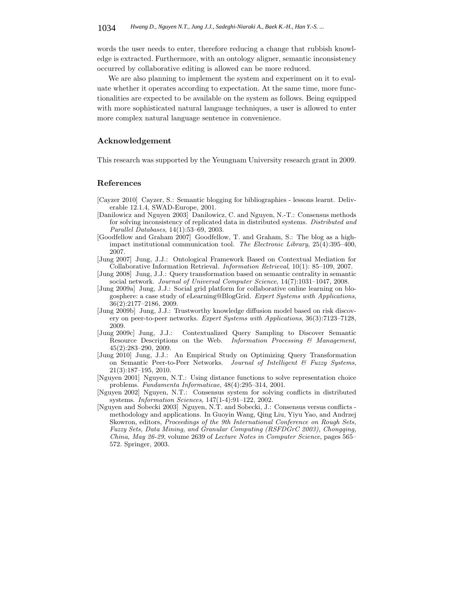words the user needs to enter, therefore reducing a change that rubbish knowledge is extracted. Furthermore, with an ontology aligner, semantic inconsistency occurred by collaborative editing is allowed can be more reduced.

We are also planning to implement the system and experiment on it to evaluate whether it operates according to expectation. At the same time, more functionalities are expected to be available on the system as follows. Being equipped with more sophisticated natural language techniques, a user is allowed to enter more complex natural language sentence in convenience.

#### **Acknowledgement**

This research was supported by the Yeungnam University research grant in 2009.

## **References**

- [Cayzer 2010] Cayzer, S.: Semantic blogging for bibliographies lessons learnt. Deliverable 12.1.4, SWAD-Europe, 2001.
- [Danilowicz and Nguyen 2003] Danilowicz, C. and Nguyen, N.-T.: Consensus methods for solving inconsistency of replicated data in distributed systems. *Distributed and Parallel Databases*, 14(1):53–69, 2003.
- [Goodfellow and Graham 2007] Goodfellow, T. and Graham, S.: The blog as a highimpact institutional communication tool. *The Electronic Library*, 25(4):395–400, 2007.
- [Jung 2007] Jung, J.J.: Ontological Framework Based on Contextual Mediation for Collaborative Information Retrieval. *Information Retrieval*, 10(1): 85–109, 2007.
- [Jung 2008] Jung, J.J.: Query transformation based on semantic centrality in semantic social network. *Journal of Universal Computer Science*, 14(7):1031–1047, 2008.
- [Jung 2009a] Jung, J.J.: Social grid platform for collaborative online learning on blogosphere: a case study of eLearning@BlogGrid. *Expert Systems with Applications*, 36(2):2177–2186, 2009.
- [Jung 2009b] Jung, J.J.: Trustworthy knowledge diffusion model based on risk discovery on peer-to-peer networks. *Expert Systems with Applications*, 36(3):7123–7128, 2009.
- [Jung 2009c] Jung, J.J.: Contextualized Query Sampling to Discover Semantic Resource Descriptions on the Web. *Information Processing & Management*, 45(2):283–290, 2009.
- [Jung 2010] Jung, J.J.: An Empirical Study on Optimizing Query Transformation on Semantic Peer-to-Peer Networks. *Journal of Intelligent & Fuzzy Systems*, 21(3):187–195, 2010.
- [Nguyen 2001] Nguyen, N.T.: Using distance functions to solve representation choice problems. *Fundamenta Informaticae*, 48(4):295–314, 2001.
- [Nguyen 2002] Nguyen, N.T.: Consensus system for solving conflicts in distributed systems. *Information Sciences*, 147(1-4):91–122, 2002.
- [Nguyen and Sobecki 2003] Nguyen, N.T. and Sobecki, J.: Consensus versus conflicts methodology and applications. In Guoyin Wang, Qing Liu, Yiyu Yao, and Andrzej Skowron, editors, *Proceedings of the 9th International Conference on Rough Sets, Fuzzy Sets, Data Mining, and Granular Computing (RSFDGrC 2003), Chongqing, China, May 26-29*, volume 2639 of *Lecture Notes in Computer Science*, pages 565– 572. Springer, 2003.